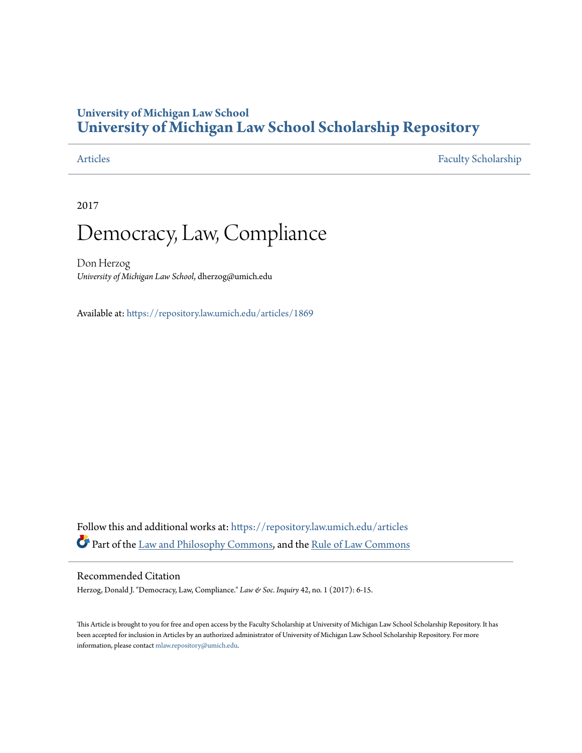### **University of Michigan Law School [University of Michigan Law School Scholarship Repository](https://repository.law.umich.edu?utm_source=repository.law.umich.edu%2Farticles%2F1869&utm_medium=PDF&utm_campaign=PDFCoverPages)**

[Articles](https://repository.law.umich.edu/articles?utm_source=repository.law.umich.edu%2Farticles%2F1869&utm_medium=PDF&utm_campaign=PDFCoverPages) [Faculty Scholarship](https://repository.law.umich.edu/faculty_scholarship?utm_source=repository.law.umich.edu%2Farticles%2F1869&utm_medium=PDF&utm_campaign=PDFCoverPages)

2017

# Democracy, Law, Compliance

Don Herzog *University of Michigan Law School*, dherzog@umich.edu

Available at: <https://repository.law.umich.edu/articles/1869>

Follow this and additional works at: [https://repository.law.umich.edu/articles](https://repository.law.umich.edu/articles?utm_source=repository.law.umich.edu%2Farticles%2F1869&utm_medium=PDF&utm_campaign=PDFCoverPages) Part of the [Law and Philosophy Commons](http://network.bepress.com/hgg/discipline/1299?utm_source=repository.law.umich.edu%2Farticles%2F1869&utm_medium=PDF&utm_campaign=PDFCoverPages), and the [Rule of Law Commons](http://network.bepress.com/hgg/discipline/1122?utm_source=repository.law.umich.edu%2Farticles%2F1869&utm_medium=PDF&utm_campaign=PDFCoverPages)

### Recommended Citation

Herzog, Donald J. "Democracy, Law, Compliance." *Law & Soc. Inquiry* 42, no. 1 (2017): 6-15.

This Article is brought to you for free and open access by the Faculty Scholarship at University of Michigan Law School Scholarship Repository. It has been accepted for inclusion in Articles by an authorized administrator of University of Michigan Law School Scholarship Repository. For more information, please contact [mlaw.repository@umich.edu.](mailto:mlaw.repository@umich.edu)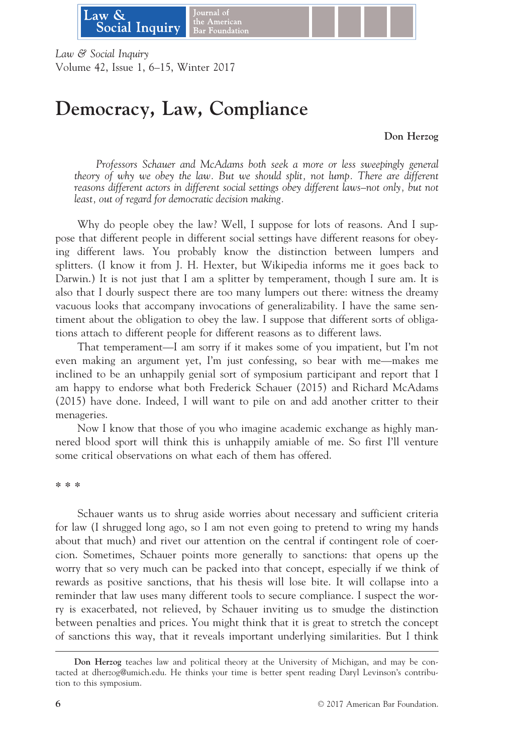Journal of Law & the American<br>Bar Foundatio **Social Inquiry** 

Law & Social Inquiry Volume 42, Issue 1, 6–15, Winter 2017

## Democracy, Law, Compliance

Don Herzog

Professors Schauer and McAdams both seek a more or less sweepingly general theory of why we obey the law. But we should split, not lump. There are different reasons different actors in different social settings obey different laws–not only, but not least, out of regard for democratic decision making.

Why do people obey the law? Well, I suppose for lots of reasons. And I suppose that different people in different social settings have different reasons for obeying different laws. You probably know the distinction between lumpers and splitters. (I know it from J. H. Hexter, but Wikipedia informs me it goes back to Darwin.) It is not just that I am a splitter by temperament, though I sure am. It is also that I dourly suspect there are too many lumpers out there: witness the dreamy vacuous looks that accompany invocations of generalizability. I have the same sentiment about the obligation to obey the law. I suppose that different sorts of obligations attach to different people for different reasons as to different laws.

That temperament—I am sorry if it makes some of you impatient, but I'm not even making an argument yet, I'm just confessing, so bear with me—makes me inclined to be an unhappily genial sort of symposium participant and report that I am happy to endorse what both Frederick Schauer (2015) and Richard McAdams (2015) have done. Indeed, I will want to pile on and add another critter to their menageries.

Now I know that those of you who imagine academic exchange as highly mannered blood sport will think this is unhappily amiable of me. So first I'll venture some critical observations on what each of them has offered.

#### \*\*\*

Schauer wants us to shrug aside worries about necessary and sufficient criteria for law (I shrugged long ago, so I am not even going to pretend to wring my hands about that much) and rivet our attention on the central if contingent role of coercion. Sometimes, Schauer points more generally to sanctions: that opens up the worry that so very much can be packed into that concept, especially if we think of rewards as positive sanctions, that his thesis will lose bite. It will collapse into a reminder that law uses many different tools to secure compliance. I suspect the worry is exacerbated, not relieved, by Schauer inviting us to smudge the distinction between penalties and prices. You might think that it is great to stretch the concept of sanctions this way, that it reveals important underlying similarities. But I think

Don Herzog teaches law and political theory at the University of Michigan, and may be contacted at dherzog@umich.edu. He thinks your time is better spent reading Daryl Levinson's contribution to this symposium.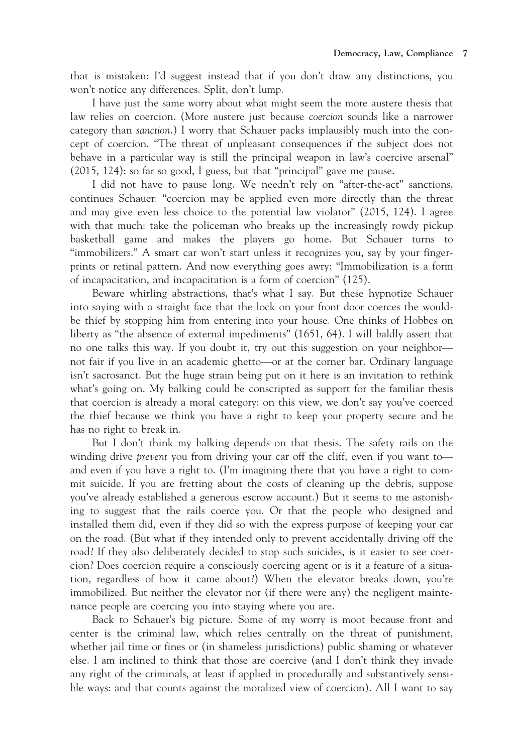that is mistaken: I'd suggest instead that if you don't draw any distinctions, you won't notice any differences. Split, don't lump.

I have just the same worry about what might seem the more austere thesis that law relies on coercion. (More austere just because coercion sounds like a narrower category than sanction.) I worry that Schauer packs implausibly much into the concept of coercion. "The threat of unpleasant consequences if the subject does not behave in a particular way is still the principal weapon in law's coercive arsenal" (2015, 124): so far so good, I guess, but that "principal" gave me pause.

I did not have to pause long. We needn't rely on "after-the-act" sanctions, continues Schauer: "coercion may be applied even more directly than the threat and may give even less choice to the potential law violator" (2015, 124). I agree with that much: take the policeman who breaks up the increasingly rowdy pickup basketball game and makes the players go home. But Schauer turns to "immobilizers." A smart car won't start unless it recognizes you, say by your fingerprints or retinal pattern. And now everything goes awry: "Immobilization is a form of incapacitation, and incapacitation is a form of coercion" (125).

Beware whirling abstractions, that's what I say. But these hypnotize Schauer into saying with a straight face that the lock on your front door coerces the wouldbe thief by stopping him from entering into your house. One thinks of Hobbes on liberty as "the absence of external impediments" (1651, 64). I will baldly assert that no one talks this way. If you doubt it, try out this suggestion on your neighbor not fair if you live in an academic ghetto—or at the corner bar. Ordinary language isn't sacrosanct. But the huge strain being put on it here is an invitation to rethink what's going on. My balking could be conscripted as support for the familiar thesis that coercion is already a moral category: on this view, we don't say you've coerced the thief because we think you have a right to keep your property secure and he has no right to break in.

But I don't think my balking depends on that thesis. The safety rails on the winding drive *prevent* you from driving your car off the cliff, even if you want to and even if you have a right to. (I'm imagining there that you have a right to commit suicide. If you are fretting about the costs of cleaning up the debris, suppose you've already established a generous escrow account.) But it seems to me astonishing to suggest that the rails coerce you. Or that the people who designed and installed them did, even if they did so with the express purpose of keeping your car on the road. (But what if they intended only to prevent accidentally driving off the road? If they also deliberately decided to stop such suicides, is it easier to see coercion? Does coercion require a consciously coercing agent or is it a feature of a situation, regardless of how it came about?) When the elevator breaks down, you're immobilized. But neither the elevator nor (if there were any) the negligent maintenance people are coercing you into staying where you are.

Back to Schauer's big picture. Some of my worry is moot because front and center is the criminal law, which relies centrally on the threat of punishment, whether jail time or fines or (in shameless jurisdictions) public shaming or whatever else. I am inclined to think that those are coercive (and I don't think they invade any right of the criminals, at least if applied in procedurally and substantively sensible ways: and that counts against the moralized view of coercion). All I want to say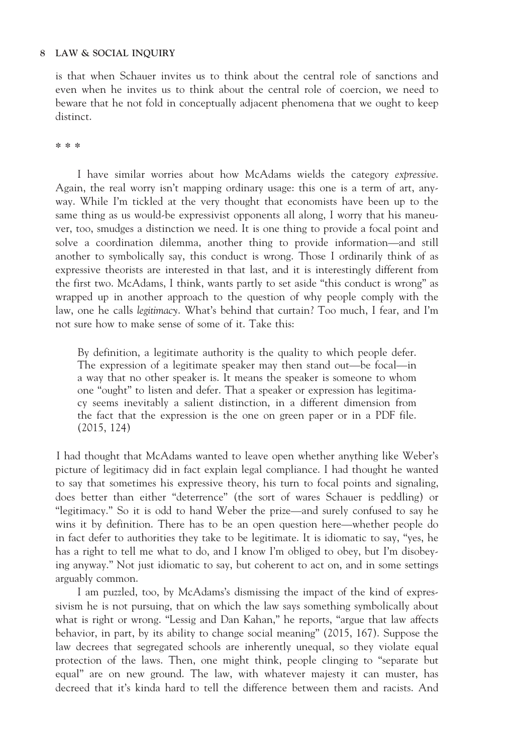#### 8 LAW & SOCIAL INQUIRY

is that when Schauer invites us to think about the central role of sanctions and even when he invites us to think about the central role of coercion, we need to beware that he not fold in conceptually adjacent phenomena that we ought to keep distinct.

\*\*\*

I have similar worries about how McAdams wields the category expressive. Again, the real worry isn't mapping ordinary usage: this one is a term of art, anyway. While I'm tickled at the very thought that economists have been up to the same thing as us would-be expressivist opponents all along, I worry that his maneuver, too, smudges a distinction we need. It is one thing to provide a focal point and solve a coordination dilemma, another thing to provide information—and still another to symbolically say, this conduct is wrong. Those I ordinarily think of as expressive theorists are interested in that last, and it is interestingly different from the first two. McAdams, I think, wants partly to set aside "this conduct is wrong" as wrapped up in another approach to the question of why people comply with the law, one he calls legitimacy. What's behind that curtain? Too much, I fear, and I'm not sure how to make sense of some of it. Take this:

By definition, a legitimate authority is the quality to which people defer. The expression of a legitimate speaker may then stand out—be focal—in a way that no other speaker is. It means the speaker is someone to whom one "ought" to listen and defer. That a speaker or expression has legitimacy seems inevitably a salient distinction, in a different dimension from the fact that the expression is the one on green paper or in a PDF file. (2015, 124)

I had thought that McAdams wanted to leave open whether anything like Weber's picture of legitimacy did in fact explain legal compliance. I had thought he wanted to say that sometimes his expressive theory, his turn to focal points and signaling, does better than either "deterrence" (the sort of wares Schauer is peddling) or "legitimacy." So it is odd to hand Weber the prize—and surely confused to say he wins it by definition. There has to be an open question here—whether people do in fact defer to authorities they take to be legitimate. It is idiomatic to say, "yes, he has a right to tell me what to do, and I know I'm obliged to obey, but I'm disobeying anyway." Not just idiomatic to say, but coherent to act on, and in some settings arguably common.

I am puzzled, too, by McAdams's dismissing the impact of the kind of expressivism he is not pursuing, that on which the law says something symbolically about what is right or wrong. "Lessig and Dan Kahan," he reports, "argue that law affects behavior, in part, by its ability to change social meaning" (2015, 167). Suppose the law decrees that segregated schools are inherently unequal, so they violate equal protection of the laws. Then, one might think, people clinging to "separate but equal" are on new ground. The law, with whatever majesty it can muster, has decreed that it's kinda hard to tell the difference between them and racists. And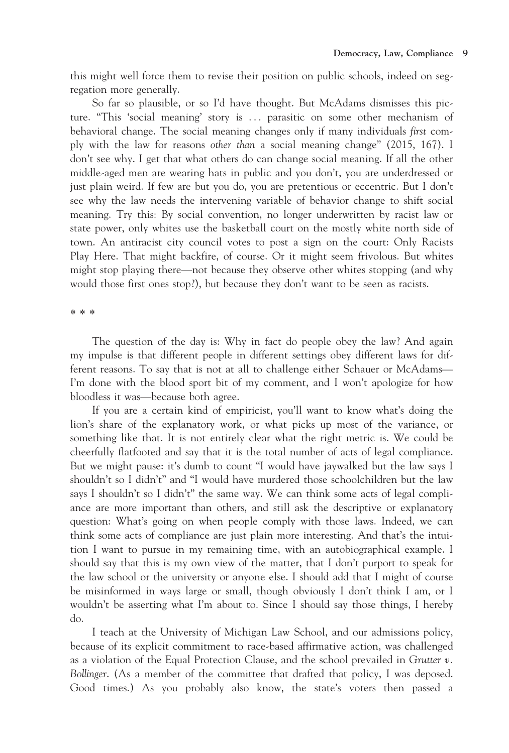this might well force them to revise their position on public schools, indeed on segregation more generally.

So far so plausible, or so I'd have thought. But McAdams dismisses this picture. "This 'social meaning' story is ... parasitic on some other mechanism of behavioral change. The social meaning changes only if many individuals first comply with the law for reasons other than a social meaning change" (2015, 167). I don't see why. I get that what others do can change social meaning. If all the other middle-aged men are wearing hats in public and you don't, you are underdressed or just plain weird. If few are but you do, you are pretentious or eccentric. But I don't see why the law needs the intervening variable of behavior change to shift social meaning. Try this: By social convention, no longer underwritten by racist law or state power, only whites use the basketball court on the mostly white north side of town. An antiracist city council votes to post a sign on the court: Only Racists Play Here. That might backfire, of course. Or it might seem frivolous. But whites might stop playing there—not because they observe other whites stopping (and why would those first ones stop?), but because they don't want to be seen as racists.

#### \*\*\*

The question of the day is: Why in fact do people obey the law? And again my impulse is that different people in different settings obey different laws for different reasons. To say that is not at all to challenge either Schauer or McAdams— I'm done with the blood sport bit of my comment, and I won't apologize for how bloodless it was—because both agree.

If you are a certain kind of empiricist, you'll want to know what's doing the lion's share of the explanatory work, or what picks up most of the variance, or something like that. It is not entirely clear what the right metric is. We could be cheerfully flatfooted and say that it is the total number of acts of legal compliance. But we might pause: it's dumb to count "I would have jaywalked but the law says I shouldn't so I didn't" and "I would have murdered those schoolchildren but the law says I shouldn't so I didn't" the same way. We can think some acts of legal compliance are more important than others, and still ask the descriptive or explanatory question: What's going on when people comply with those laws. Indeed, we can think some acts of compliance are just plain more interesting. And that's the intuition I want to pursue in my remaining time, with an autobiographical example. I should say that this is my own view of the matter, that I don't purport to speak for the law school or the university or anyone else. I should add that I might of course be misinformed in ways large or small, though obviously I don't think I am, or I wouldn't be asserting what I'm about to. Since I should say those things, I hereby do.

I teach at the University of Michigan Law School, and our admissions policy, because of its explicit commitment to race-based affirmative action, was challenged as a violation of the Equal Protection Clause, and the school prevailed in Grutter  $v$ . Bollinger. (As a member of the committee that drafted that policy, I was deposed. Good times.) As you probably also know, the state's voters then passed a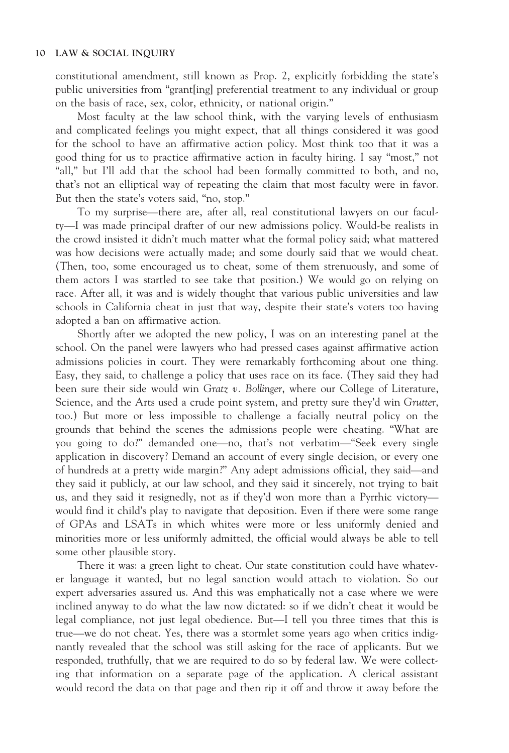constitutional amendment, still known as Prop. 2, explicitly forbidding the state's public universities from "grant[ing] preferential treatment to any individual or group on the basis of race, sex, color, ethnicity, or national origin."

Most faculty at the law school think, with the varying levels of enthusiasm and complicated feelings you might expect, that all things considered it was good for the school to have an affirmative action policy. Most think too that it was a good thing for us to practice affirmative action in faculty hiring. I say "most," not "all," but I'll add that the school had been formally committed to both, and no, that's not an elliptical way of repeating the claim that most faculty were in favor. But then the state's voters said, "no, stop."

To my surprise—there are, after all, real constitutional lawyers on our faculty—I was made principal drafter of our new admissions policy. Would-be realists in the crowd insisted it didn't much matter what the formal policy said; what mattered was how decisions were actually made; and some dourly said that we would cheat. (Then, too, some encouraged us to cheat, some of them strenuously, and some of them actors I was startled to see take that position.) We would go on relying on race. After all, it was and is widely thought that various public universities and law schools in California cheat in just that way, despite their state's voters too having adopted a ban on affirmative action.

Shortly after we adopted the new policy, I was on an interesting panel at the school. On the panel were lawyers who had pressed cases against affirmative action admissions policies in court. They were remarkably forthcoming about one thing. Easy, they said, to challenge a policy that uses race on its face. (They said they had been sure their side would win Gratz v. Bollinger, where our College of Literature, Science, and the Arts used a crude point system, and pretty sure they'd win Grutter, too.) But more or less impossible to challenge a facially neutral policy on the grounds that behind the scenes the admissions people were cheating. "What are you going to do?" demanded one—no, that's not verbatim—"Seek every single application in discovery? Demand an account of every single decision, or every one of hundreds at a pretty wide margin?" Any adept admissions official, they said—and they said it publicly, at our law school, and they said it sincerely, not trying to bait us, and they said it resignedly, not as if they'd won more than a Pyrrhic victory would find it child's play to navigate that deposition. Even if there were some range of GPAs and LSATs in which whites were more or less uniformly denied and minorities more or less uniformly admitted, the official would always be able to tell some other plausible story.

There it was: a green light to cheat. Our state constitution could have whatever language it wanted, but no legal sanction would attach to violation. So our expert adversaries assured us. And this was emphatically not a case where we were inclined anyway to do what the law now dictated: so if we didn't cheat it would be legal compliance, not just legal obedience. But—I tell you three times that this is true—we do not cheat. Yes, there was a stormlet some years ago when critics indignantly revealed that the school was still asking for the race of applicants. But we responded, truthfully, that we are required to do so by federal law. We were collecting that information on a separate page of the application. A clerical assistant would record the data on that page and then rip it off and throw it away before the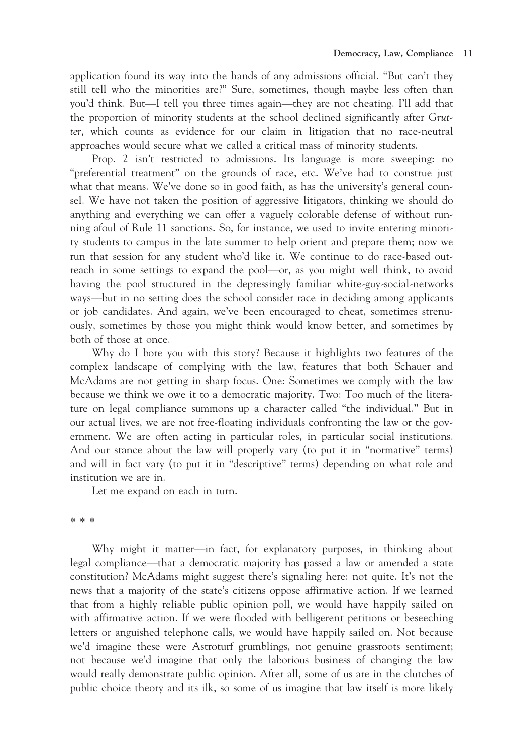application found its way into the hands of any admissions official. "But can't they still tell who the minorities are?" Sure, sometimes, though maybe less often than you'd think. But—I tell you three times again—they are not cheating. I'll add that the proportion of minority students at the school declined significantly after Grutter, which counts as evidence for our claim in litigation that no race-neutral approaches would secure what we called a critical mass of minority students.

Prop. 2 isn't restricted to admissions. Its language is more sweeping: no "preferential treatment" on the grounds of race, etc. We've had to construe just what that means. We've done so in good faith, as has the university's general counsel. We have not taken the position of aggressive litigators, thinking we should do anything and everything we can offer a vaguely colorable defense of without running afoul of Rule 11 sanctions. So, for instance, we used to invite entering minority students to campus in the late summer to help orient and prepare them; now we run that session for any student who'd like it. We continue to do race-based outreach in some settings to expand the pool—or, as you might well think, to avoid having the pool structured in the depressingly familiar white-guy-social-networks ways—but in no setting does the school consider race in deciding among applicants or job candidates. And again, we've been encouraged to cheat, sometimes strenuously, sometimes by those you might think would know better, and sometimes by both of those at once.

Why do I bore you with this story? Because it highlights two features of the complex landscape of complying with the law, features that both Schauer and McAdams are not getting in sharp focus. One: Sometimes we comply with the law because we think we owe it to a democratic majority. Two: Too much of the literature on legal compliance summons up a character called "the individual." But in our actual lives, we are not free-floating individuals confronting the law or the government. We are often acting in particular roles, in particular social institutions. And our stance about the law will properly vary (to put it in "normative" terms) and will in fact vary (to put it in "descriptive" terms) depending on what role and institution we are in.

Let me expand on each in turn.

\*\*\*

Why might it matter—in fact, for explanatory purposes, in thinking about legal compliance—that a democratic majority has passed a law or amended a state constitution? McAdams might suggest there's signaling here: not quite. It's not the news that a majority of the state's citizens oppose affirmative action. If we learned that from a highly reliable public opinion poll, we would have happily sailed on with affirmative action. If we were flooded with belligerent petitions or beseeching letters or anguished telephone calls, we would have happily sailed on. Not because we'd imagine these were Astroturf grumblings, not genuine grassroots sentiment; not because we'd imagine that only the laborious business of changing the law would really demonstrate public opinion. After all, some of us are in the clutches of public choice theory and its ilk, so some of us imagine that law itself is more likely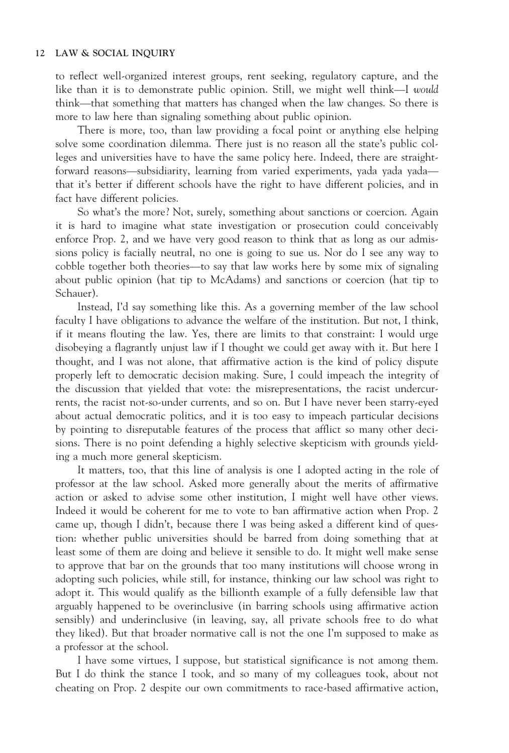#### 12 LAW & SOCIAL INQUIRY

to reflect well-organized interest groups, rent seeking, regulatory capture, and the like than it is to demonstrate public opinion. Still, we might well think—I would think—that something that matters has changed when the law changes. So there is more to law here than signaling something about public opinion.

There is more, too, than law providing a focal point or anything else helping solve some coordination dilemma. There just is no reason all the state's public colleges and universities have to have the same policy here. Indeed, there are straightforward reasons—subsidiarity, learning from varied experiments, yada yada yada that it's better if different schools have the right to have different policies, and in fact have different policies.

So what's the more? Not, surely, something about sanctions or coercion. Again it is hard to imagine what state investigation or prosecution could conceivably enforce Prop. 2, and we have very good reason to think that as long as our admissions policy is facially neutral, no one is going to sue us. Nor do I see any way to cobble together both theories—to say that law works here by some mix of signaling about public opinion (hat tip to McAdams) and sanctions or coercion (hat tip to Schauer).

Instead, I'd say something like this. As a governing member of the law school faculty I have obligations to advance the welfare of the institution. But not, I think, if it means flouting the law. Yes, there are limits to that constraint: I would urge disobeying a flagrantly unjust law if I thought we could get away with it. But here I thought, and I was not alone, that affirmative action is the kind of policy dispute properly left to democratic decision making. Sure, I could impeach the integrity of the discussion that yielded that vote: the misrepresentations, the racist undercurrents, the racist not-so-under currents, and so on. But I have never been starry-eyed about actual democratic politics, and it is too easy to impeach particular decisions by pointing to disreputable features of the process that afflict so many other decisions. There is no point defending a highly selective skepticism with grounds yielding a much more general skepticism.

It matters, too, that this line of analysis is one I adopted acting in the role of professor at the law school. Asked more generally about the merits of affirmative action or asked to advise some other institution, I might well have other views. Indeed it would be coherent for me to vote to ban affirmative action when Prop. 2 came up, though I didn't, because there I was being asked a different kind of question: whether public universities should be barred from doing something that at least some of them are doing and believe it sensible to do. It might well make sense to approve that bar on the grounds that too many institutions will choose wrong in adopting such policies, while still, for instance, thinking our law school was right to adopt it. This would qualify as the billionth example of a fully defensible law that arguably happened to be overinclusive (in barring schools using affirmative action sensibly) and underinclusive (in leaving, say, all private schools free to do what they liked). But that broader normative call is not the one I'm supposed to make as a professor at the school.

I have some virtues, I suppose, but statistical significance is not among them. But I do think the stance I took, and so many of my colleagues took, about not cheating on Prop. 2 despite our own commitments to race-based affirmative action,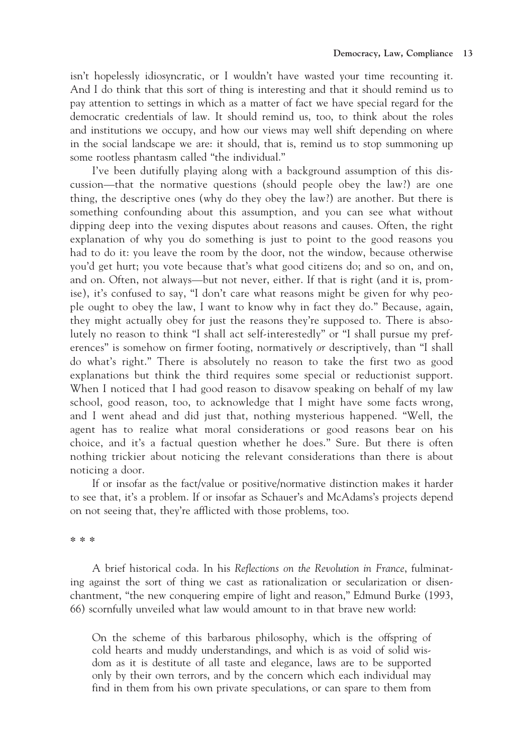isn't hopelessly idiosyncratic, or I wouldn't have wasted your time recounting it. And I do think that this sort of thing is interesting and that it should remind us to pay attention to settings in which as a matter of fact we have special regard for the democratic credentials of law. It should remind us, too, to think about the roles and institutions we occupy, and how our views may well shift depending on where in the social landscape we are: it should, that is, remind us to stop summoning up some rootless phantasm called "the individual."

I've been dutifully playing along with a background assumption of this discussion—that the normative questions (should people obey the law?) are one thing, the descriptive ones (why do they obey the law?) are another. But there is something confounding about this assumption, and you can see what without dipping deep into the vexing disputes about reasons and causes. Often, the right explanation of why you do something is just to point to the good reasons you had to do it: you leave the room by the door, not the window, because otherwise you'd get hurt; you vote because that's what good citizens do; and so on, and on, and on. Often, not always—but not never, either. If that is right (and it is, promise), it's confused to say, "I don't care what reasons might be given for why people ought to obey the law, I want to know why in fact they do." Because, again, they might actually obey for just the reasons they're supposed to. There is absolutely no reason to think "I shall act self-interestedly" or "I shall pursue my preferences" is somehow on firmer footing, normatively or descriptively, than "I shall do what's right." There is absolutely no reason to take the first two as good explanations but think the third requires some special or reductionist support. When I noticed that I had good reason to disavow speaking on behalf of my law school, good reason, too, to acknowledge that I might have some facts wrong, and I went ahead and did just that, nothing mysterious happened. "Well, the agent has to realize what moral considerations or good reasons bear on his choice, and it's a factual question whether he does." Sure. But there is often nothing trickier about noticing the relevant considerations than there is about noticing a door.

If or insofar as the fact/value or positive/normative distinction makes it harder to see that, it's a problem. If or insofar as Schauer's and McAdams's projects depend on not seeing that, they're afflicted with those problems, too.

#### \*\*\*

A brief historical coda. In his Reflections on the Revolution in France, fulminating against the sort of thing we cast as rationalization or secularization or disenchantment, "the new conquering empire of light and reason," Edmund Burke (1993, 66) scornfully unveiled what law would amount to in that brave new world:

On the scheme of this barbarous philosophy, which is the offspring of cold hearts and muddy understandings, and which is as void of solid wisdom as it is destitute of all taste and elegance, laws are to be supported only by their own terrors, and by the concern which each individual may find in them from his own private speculations, or can spare to them from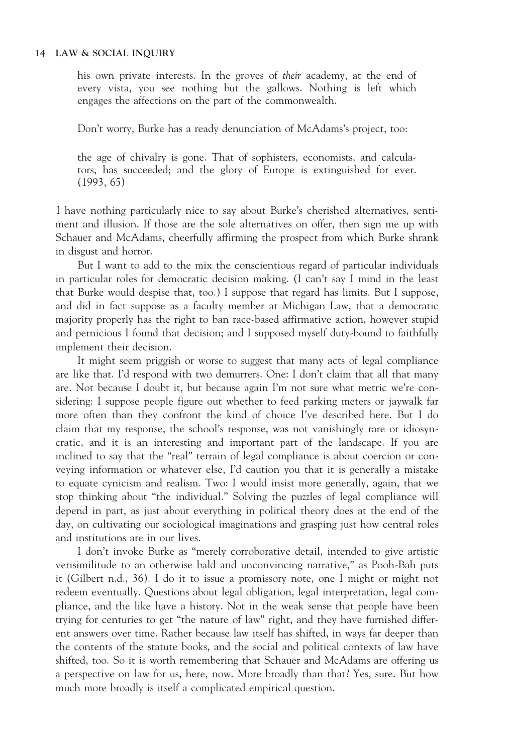#### 14 LAW & SOCIAL INQUIRY

his own private interests. In the groves of their academy, at the end of every vista, you see nothing but the gallows. Nothing is left which engages the affections on the part of the commonwealth.

Don't worry, Burke has a ready denunciation of McAdams's project, too:

the age of chivalry is gone. That of sophisters, economists, and calculators, has succeeded; and the glory of Europe is extinguished for ever. (1993, 65)

I have nothing particularly nice to say about Burke's cherished alternatives, sentiment and illusion. If those are the sole alternatives on offer, then sign me up with Schauer and McAdams, cheerfully affirming the prospect from which Burke shrank in disgust and horror.

But I want to add to the mix the conscientious regard of particular individuals in particular roles for democratic decision making. (I can't say I mind in the least that Burke would despise that, too.) I suppose that regard has limits. But I suppose, and did in fact suppose as a faculty member at Michigan Law, that a democratic majority properly has the right to ban race-based affirmative action, however stupid and pernicious I found that decision; and I supposed myself duty-bound to faithfully implement their decision.

It might seem priggish or worse to suggest that many acts of legal compliance are like that. I'd respond with two demurrers. One: I don't claim that all that many are. Not because I doubt it, but because again I'm not sure what metric we're considering: I suppose people figure out whether to feed parking meters or jaywalk far more often than they confront the kind of choice I've described here. But I do claim that my response, the school's response, was not vanishingly rare or idiosyncratic, and it is an interesting and important part of the landscape. If you are inclined to say that the "real" terrain of legal compliance is about coercion or conveying information or whatever else, I'd caution you that it is generally a mistake to equate cynicism and realism. Two: I would insist more generally, again, that we stop thinking about "the individual." Solving the puzzles of legal compliance will depend in part, as just about everything in political theory does at the end of the day, on cultivating our sociological imaginations and grasping just how central roles and institutions are in our lives.

I don't invoke Burke as "merely corroborative detail, intended to give artistic verisimilitude to an otherwise bald and unconvincing narrative," as Pooh-Bah puts it (Gilbert n.d., 36). I do it to issue a promissory note, one I might or might not redeem eventually. Questions about legal obligation, legal interpretation, legal compliance, and the like have a history. Not in the weak sense that people have been trying for centuries to get "the nature of law" right, and they have furnished different answers over time. Rather because law itself has shifted, in ways far deeper than the contents of the statute books, and the social and political contexts of law have shifted, too. So it is worth remembering that Schauer and McAdams are offering us a perspective on law for us, here, now. More broadly than that? Yes, sure. But how much more broadly is itself a complicated empirical question.